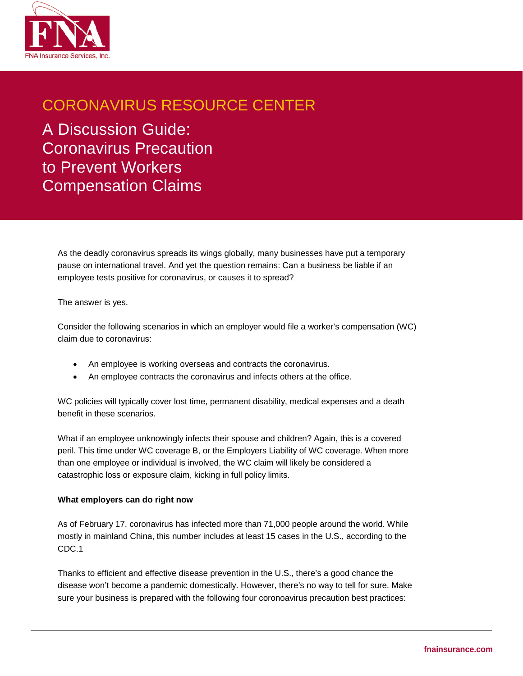

## CORONAVIRUS RESOURCE CENTER

A Discussion Guide: Coronavirus Precaution to Prevent Workers Compensation Claims

As the deadly coronavirus spreads its wings globally, many businesses have put a temporary pause on international travel. And yet the question remains: Can a business be liable if an employee tests positive for coronavirus, or causes it to spread?

The answer is yes.

Consider the following scenarios in which an employer would file a worker's compensation (WC) claim due to coronavirus:

- An employee is working overseas and contracts the coronavirus.
- An employee contracts the coronavirus and infects others at the office.

WC policies will typically cover lost time, permanent disability, medical expenses and a death benefit in these scenarios.

What if an employee unknowingly infects their spouse and children? Again, this is a covered peril. This time under WC coverage B, or the Employers Liability of WC coverage. When more than one employee or individual is involved, the WC claim will likely be considered a catastrophic loss or exposure claim, kicking in full policy limits.

## **What employers can do right now**

As of February 17, coronavirus has infected more than 71,000 people around the world. While mostly in mainland China, this number includes at least 15 cases in the U.S., according to the CDC.1

Thanks to efficient and effective disease prevention in the U.S., there's a good chance the disease won't become a pandemic domestically. However, there's no way to tell for sure. Make sure your business is prepared with the following four coronoavirus precaution best practices: